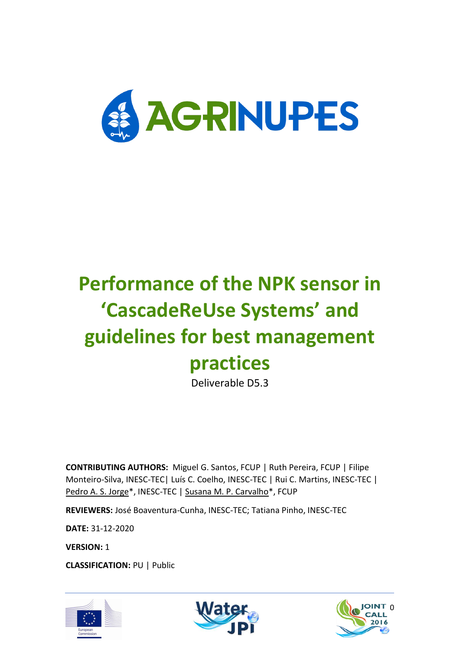

# **Performance of the NPK sensor in 'CascadeReUse Systems' and guidelines for best management practices**

Deliverable D5.3

**CONTRIBUTING AUTHORS:** Miguel G. Santos, FCUP | Ruth Pereira, FCUP | Filipe Monteiro-Silva, INESC-TEC| Luís C. Coelho, INESC-TEC | Rui C. Martins, INESC-TEC | Pedro A. S. Jorge\*, INESC-TEC | Susana M. P. Carvalho\*, FCUP

**REVIEWERS:** José Boaventura-Cunha, INESC-TEC; Tatiana Pinho, INESC-TEC

**DATE:** 31-12-2020

**VERSION:** 1

**CLASSIFICATION:** PU | Public





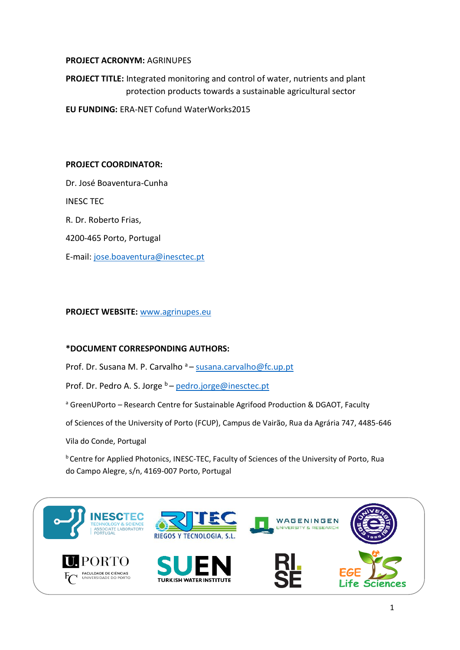#### **PROJECT ACRONYM:** AGRINUPES

**PROJECT TITLE:** Integrated monitoring and control of water, nutrients and plant protection products towards a sustainable agricultural sector

**EU FUNDING:** ERA-NET Cofund WaterWorks2015

#### **PROJECT COORDINATOR:**

Dr. José Boaventura-Cunha INESC TEC R. Dr. Roberto Frias, 4200-465 Porto, Portugal E-mail: [jose.boaventura@inesctec.pt](mailto:jose.boaventura@inesctec.pt)

#### **PROJECT WEBSITE:** [www.agrinupes.eu](http://www.agrinupes.eu/)

#### **\*DOCUMENT CORRESPONDING AUTHORS:**

Prof. Dr. Susana M. P. Carvalho <sup>a</sup> – [susana.carvalho@fc.up.pt](mailto:susana.carvalho@fc.up.pt)

Prof. Dr. Pedro A. S. Jorge  $b$  – [pedro.jorge@inesctec.pt](mailto:pedro.jorge@inesctec.pt)

<sup>a</sup> GreenUPorto – Research Centre for Sustainable Agrifood Production & DGAOT, Faculty

of Sciences of the University of Porto (FCUP), Campus de Vairão, Rua da Agrária 747, 4485-646

Vila do Conde, Portugal

<sup>b</sup> Centre for Applied Photonics, INESC-TEC, Faculty of Sciences of the University of Porto, Rua do Campo Alegre, s/n, 4169-007 Porto, Portugal

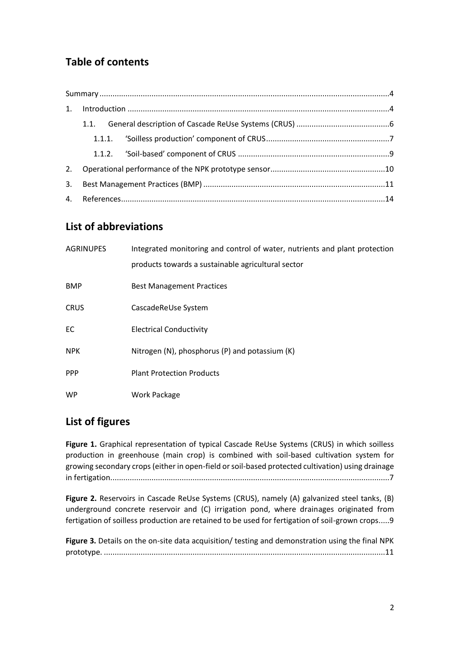# **Table of contents**

## **List of abbreviations**

| <b>AGRINUPES</b> | Integrated monitoring and control of water, nutrients and plant protection<br>products towards a sustainable agricultural sector |
|------------------|----------------------------------------------------------------------------------------------------------------------------------|
| <b>BMP</b>       | <b>Best Management Practices</b>                                                                                                 |
| <b>CRUS</b>      | CascadeReUse System                                                                                                              |
| EC               | <b>Electrical Conductivity</b>                                                                                                   |
| <b>NPK</b>       | Nitrogen (N), phosphorus (P) and potassium (K)                                                                                   |
| <b>PPP</b>       | <b>Plant Protection Products</b>                                                                                                 |
| <b>WP</b>        | Work Package                                                                                                                     |

## **List of figures**

**Figure 1.** [Graphical representation of typical Cascade ReUse Systems \(CRUS\) in which soilless](#page-7-1)  [production in greenhouse \(main crop\) is combined with soil-based cultivation system for](#page-7-1)  [growing secondary crops \(either in open-field or soil-based protected cultivation\) using drainage](#page-7-1)  [in fertigation.................................................................................................................................7](#page-7-1)

**Figure 2.** [Reservoirs in Cascade ReUse Systems \(CRUS\), namely \(A\) galvanized steel tanks, \(B\)](#page-9-1)  [underground concrete reservoir and \(C\) irrigation pond, where drainages originated from](#page-9-1)  [fertigation of soilless production are retained to be used for fertigation of soil-grown crops.....9](#page-9-1)

**Figure 3.** [Details on the on-site data acquisition/ testing and demonstration using the final NPK](#page-11-1)  prototype. [..................................................................................................................................11](#page-11-1)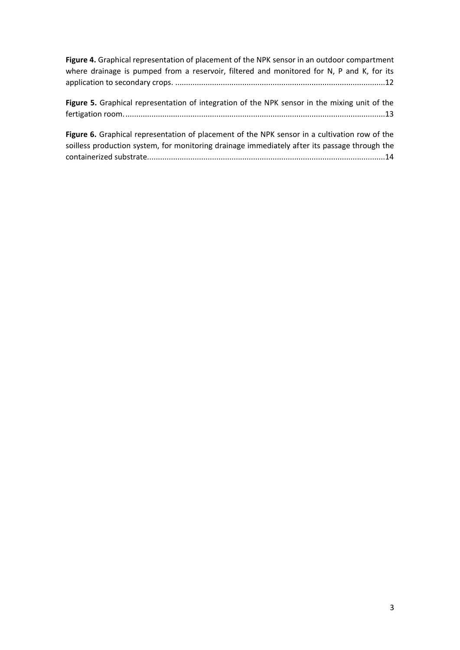**Figure 4.** [Graphical representation of placement of the NPK sensor in an outdoor compartment](#page-12-0)  where drainage is pumped from a reservoir, filtered and monitored for N, P and K, for its application to secondary crops. [.................................................................................................12](#page-12-0)

**Figure 5.** [Graphical representation of integration of the NPK sensor in the mixing unit of the](#page-13-0)  [fertigation room.........................................................................................................................13](#page-13-0)

**Figure 6.** [Graphical representation of placement of the NPK sensor in a cultivation row of the](#page-14-1)  [soilless production system, for monitoring drainage immediately after its passage through the](#page-14-1)  [containerized substrate..............................................................................................................14](#page-14-1)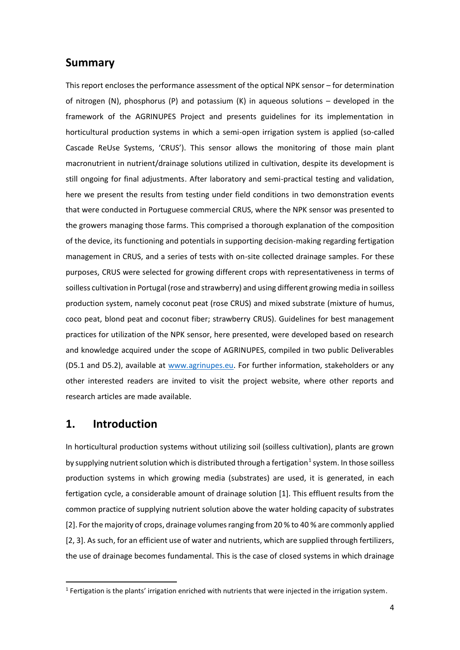#### <span id="page-4-0"></span>**Summary**

This report encloses the performance assessment of the optical NPK sensor – for determination of nitrogen (N), phosphorus (P) and potassium (K) in aqueous solutions  $-$  developed in the framework of the AGRINUPES Project and presents guidelines for its implementation in horticultural production systems in which a semi-open irrigation system is applied (so-called Cascade ReUse Systems, 'CRUS'). This sensor allows the monitoring of those main plant macronutrient in nutrient/drainage solutions utilized in cultivation, despite its development is still ongoing for final adjustments. After laboratory and semi-practical testing and validation, here we present the results from testing under field conditions in two demonstration events that were conducted in Portuguese commercial CRUS, where the NPK sensor was presented to the growers managing those farms. This comprised a thorough explanation of the composition of the device, its functioning and potentials in supporting decision-making regarding fertigation management in CRUS, and a series of tests with on-site collected drainage samples. For these purposes, CRUS were selected for growing different crops with representativeness in terms of soilless cultivation in Portugal (rose and strawberry) and using different growing media in soilless production system, namely coconut peat (rose CRUS) and mixed substrate (mixture of humus, coco peat, blond peat and coconut fiber; strawberry CRUS). Guidelines for best management practices for utilization of the NPK sensor, here presented, were developed based on research and knowledge acquired under the scope of AGRINUPES, compiled in two public Deliverables (D5.1 and D5.2), available at [www.agrinupes.eu.](http://www.agrinupes.eu/) For further information, stakeholders or any other interested readers are invited to visit the project website, where other reports and research articles are made available.

#### <span id="page-4-1"></span>**1. Introduction**

In horticultural production systems without utilizing soil (soilless cultivation), plants are grown by supplying nutrient solution which is distributed through a fertigation<sup>1</sup> system. In those soilless production systems in which growing media (substrates) are used, it is generated, in each fertigation cycle, a considerable amount of drainage solution [1]. This effluent results from the common practice of supplying nutrient solution above the water holding capacity of substrates [2]. For the majority of crops, drainage volumes ranging from 20 % to 40 % are commonly applied [2, 3]. As such, for an efficient use of water and nutrients, which are supplied through fertilizers, the use of drainage becomes fundamental. This is the case of closed systems in which drainage

<sup>&</sup>lt;sup>1</sup> Fertigation is the plants' irrigation enriched with nutrients that were injected in the irrigation system.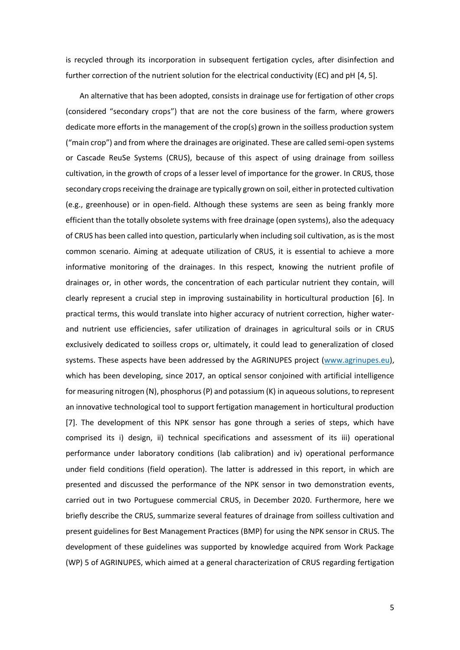is recycled through its incorporation in subsequent fertigation cycles, after disinfection and further correction of the nutrient solution for the electrical conductivity (EC) and pH [4, 5].

An alternative that has been adopted, consists in drainage use for fertigation of other crops (considered "secondary crops") that are not the core business of the farm, where growers dedicate more efforts in the management of the crop(s) grown in the soilless production system ("main crop") and from where the drainages are originated. These are called semi-open systems or Cascade ReuSe Systems (CRUS), because of this aspect of using drainage from soilless cultivation, in the growth of crops of a lesser level of importance for the grower. In CRUS, those secondary crops receiving the drainage are typically grown on soil, either in protected cultivation (e.g., greenhouse) or in open-field. Although these systems are seen as being frankly more efficient than the totally obsolete systems with free drainage (open systems), also the adequacy of CRUS has been called into question, particularly when including soil cultivation, as is the most common scenario. Aiming at adequate utilization of CRUS, it is essential to achieve a more informative monitoring of the drainages. In this respect, knowing the nutrient profile of drainages or, in other words, the concentration of each particular nutrient they contain, will clearly represent a crucial step in improving sustainability in horticultural production [6]. In practical terms, this would translate into higher accuracy of nutrient correction, higher waterand nutrient use efficiencies, safer utilization of drainages in agricultural soils or in CRUS exclusively dedicated to soilless crops or, ultimately, it could lead to generalization of closed systems. These aspects have been addressed by the AGRINUPES project [\(www.agrinupes.eu\)](http://www.agrinupes.eu/), which has been developing, since 2017, an optical sensor conjoined with artificial intelligence for measuring nitrogen (N), phosphorus (P) and potassium (K) in aqueous solutions, to represent an innovative technological tool to support fertigation management in horticultural production [7]. The development of this NPK sensor has gone through a series of steps, which have comprised its i) design, ii) technical specifications and assessment of its iii) operational performance under laboratory conditions (lab calibration) and iv) operational performance under field conditions (field operation). The latter is addressed in this report, in which are presented and discussed the performance of the NPK sensor in two demonstration events, carried out in two Portuguese commercial CRUS, in December 2020. Furthermore, here we briefly describe the CRUS, summarize several features of drainage from soilless cultivation and present guidelines for Best Management Practices (BMP) for using the NPK sensor in CRUS. The development of these guidelines was supported by knowledge acquired from Work Package (WP) 5 of AGRINUPES, which aimed at a general characterization of CRUS regarding fertigation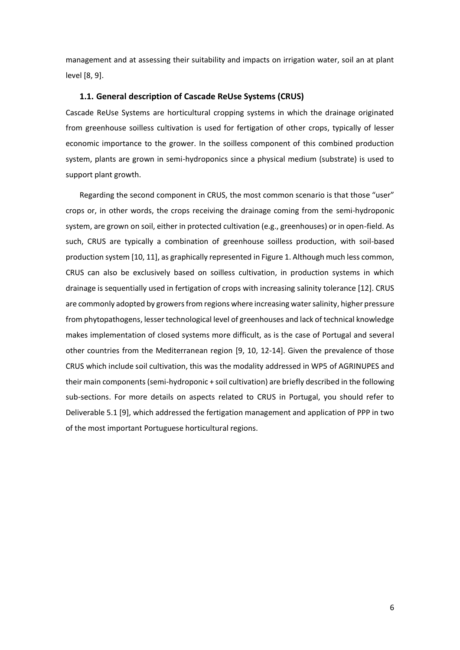management and at assessing their suitability and impacts on irrigation water, soil an at plant level [8, 9].

#### <span id="page-6-0"></span>**1.1. General description of Cascade ReUse Systems (CRUS)**

Cascade ReUse Systems are horticultural cropping systems in which the drainage originated from greenhouse soilless cultivation is used for fertigation of other crops, typically of lesser economic importance to the grower. In the soilless component of this combined production system, plants are grown in semi-hydroponics since a physical medium (substrate) is used to support plant growth.

Regarding the second component in CRUS, the most common scenario is that those "user" crops or, in other words, the crops receiving the drainage coming from the semi-hydroponic system, are grown on soil, either in protected cultivation (e.g., greenhouses) or in open-field. As such, CRUS are typically a combination of greenhouse soilless production, with soil-based production system [10, 11], as graphically represented in [Figure 1.](#page-7-1) Although much less common, CRUS can also be exclusively based on soilless cultivation, in production systems in which drainage is sequentially used in fertigation of crops with increasing salinity tolerance [12]. CRUS are commonly adopted by growers from regions where increasing water salinity, higher pressure from phytopathogens, lesser technological level of greenhouses and lack of technical knowledge makes implementation of closed systems more difficult, as is the case of Portugal and several other countries from the Mediterranean region [9, 10, 12-14]. Given the prevalence of those CRUS which include soil cultivation, this was the modality addressed in WP5 of AGRINUPES and their main components (semi-hydroponic + soil cultivation) are briefly described in the following sub-sections. For more details on aspects related to CRUS in Portugal, you should refer to Deliverable 5.1 [9], which addressed the fertigation management and application of PPP in two of the most important Portuguese horticultural regions.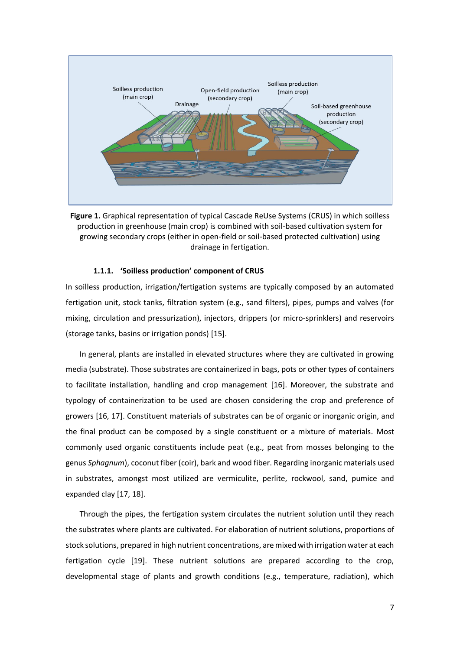

<span id="page-7-1"></span>**Figure 1.** Graphical representation of typical Cascade ReUse Systems (CRUS) in which soilless production in greenhouse (main crop) is combined with soil-based cultivation system for growing secondary crops (either in open-field or soil-based protected cultivation) using drainage in fertigation.

#### **1.1.1. 'Soilless production' component of CRUS**

<span id="page-7-0"></span>In soilless production, irrigation/fertigation systems are typically composed by an automated fertigation unit, stock tanks, filtration system (e.g., sand filters), pipes, pumps and valves (for mixing, circulation and pressurization), injectors, drippers (or micro-sprinklers) and reservoirs (storage tanks, basins or irrigation ponds) [15].

In general, plants are installed in elevated structures where they are cultivated in growing media (substrate). Those substrates are containerized in bags, pots or other types of containers to facilitate installation, handling and crop management [16]. Moreover, the substrate and typology of containerization to be used are chosen considering the crop and preference of growers [16, 17]. Constituent materials of substrates can be of organic or inorganic origin, and the final product can be composed by a single constituent or a mixture of materials. Most commonly used organic constituents include peat (e.g., peat from mosses belonging to the genus *Sphagnum*), coconut fiber (coir), bark and wood fiber. Regarding inorganic materials used in substrates, amongst most utilized are vermiculite, perlite, rockwool, sand, pumice and expanded clay [17, 18].

Through the pipes, the fertigation system circulates the nutrient solution until they reach the substrates where plants are cultivated. For elaboration of nutrient solutions, proportions of stock solutions, prepared in high nutrient concentrations, are mixed with irrigation water at each fertigation cycle [19]. These nutrient solutions are prepared according to the crop, developmental stage of plants and growth conditions (e.g., temperature, radiation), which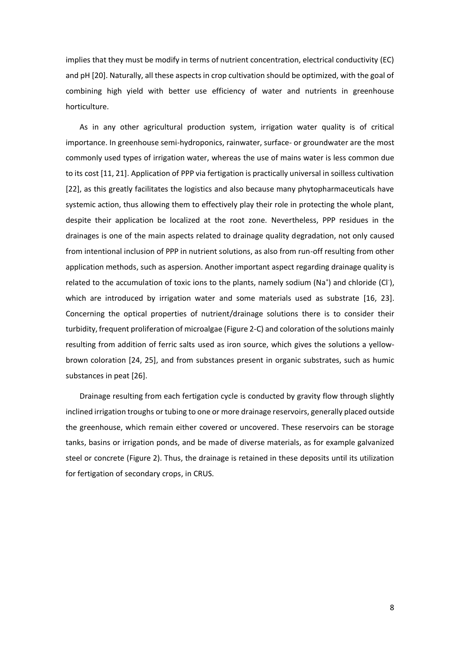implies that they must be modify in terms of nutrient concentration, electrical conductivity (EC) and pH [20]. Naturally, all these aspects in crop cultivation should be optimized, with the goal of combining high yield with better use efficiency of water and nutrients in greenhouse horticulture.

As in any other agricultural production system, irrigation water quality is of critical importance. In greenhouse semi-hydroponics, rainwater, surface- or groundwater are the most commonly used types of irrigation water, whereas the use of mains water is less common due to its cost [11, 21]. Application of PPP via fertigation is practically universal in soilless cultivation [22], as this greatly facilitates the logistics and also because many phytopharmaceuticals have systemic action, thus allowing them to effectively play their role in protecting the whole plant, despite their application be localized at the root zone. Nevertheless, PPP residues in the drainages is one of the main aspects related to drainage quality degradation, not only caused from intentional inclusion of PPP in nutrient solutions, as also from run-off resulting from other application methods, such as aspersion. Another important aspect regarding drainage quality is related to the accumulation of toxic ions to the plants, namely sodium (Na<sup>+</sup>) and chloride (Cl<sup>-</sup>), which are introduced by irrigation water and some materials used as substrate [16, 23]. Concerning the optical properties of nutrient/drainage solutions there is to consider their turbidity, frequent proliferation of microalgae [\(Figure 2-](#page-9-1)C) and coloration of the solutions mainly resulting from addition of ferric salts used as iron source, which gives the solutions a yellowbrown coloration [24, 25], and from substances present in organic substrates, such as humic substances in peat [26].

Drainage resulting from each fertigation cycle is conducted by gravity flow through slightly inclined irrigation troughs or tubing to one or more drainage reservoirs, generally placed outside the greenhouse, which remain either covered or uncovered. These reservoirs can be storage tanks, basins or irrigation ponds, and be made of diverse materials, as for example galvanized steel or concrete [\(Figure 2\)](#page-9-1). Thus, the drainage is retained in these deposits until its utilization for fertigation of secondary crops, in CRUS.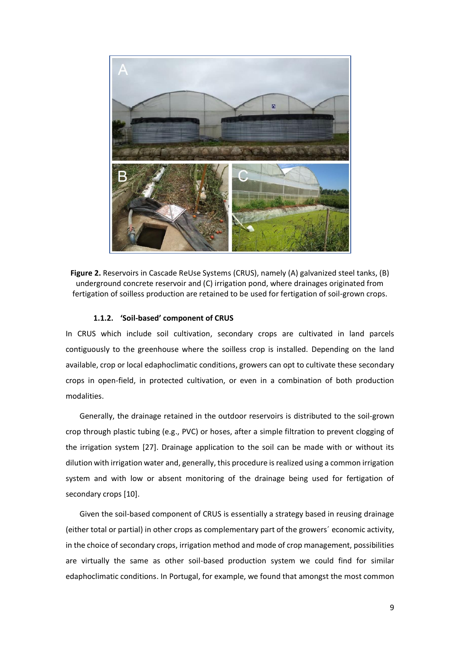

**Figure 2.** Reservoirs in Cascade ReUse Systems (CRUS), namely (A) galvanized steel tanks, (B) underground concrete reservoir and (C) irrigation pond, where drainages originated from fertigation of soilless production are retained to be used for fertigation of soil-grown crops.

#### <span id="page-9-1"></span>**1.1.2. 'Soil-based' component of CRUS**

<span id="page-9-0"></span>In CRUS which include soil cultivation, secondary crops are cultivated in land parcels contiguously to the greenhouse where the soilless crop is installed. Depending on the land available, crop or local edaphoclimatic conditions, growers can opt to cultivate these secondary crops in open-field, in protected cultivation, or even in a combination of both production modalities.

Generally, the drainage retained in the outdoor reservoirs is distributed to the soil-grown crop through plastic tubing (e.g., PVC) or hoses, after a simple filtration to prevent clogging of the irrigation system [27]. Drainage application to the soil can be made with or without its dilution with irrigation water and, generally, this procedure is realized using a common irrigation system and with low or absent monitoring of the drainage being used for fertigation of secondary crops [10].

Given the soil-based component of CRUS is essentially a strategy based in reusing drainage (either total or partial) in other crops as complementary part of the growers´ economic activity, in the choice of secondary crops, irrigation method and mode of crop management, possibilities are virtually the same as other soil-based production system we could find for similar edaphoclimatic conditions. In Portugal, for example, we found that amongst the most common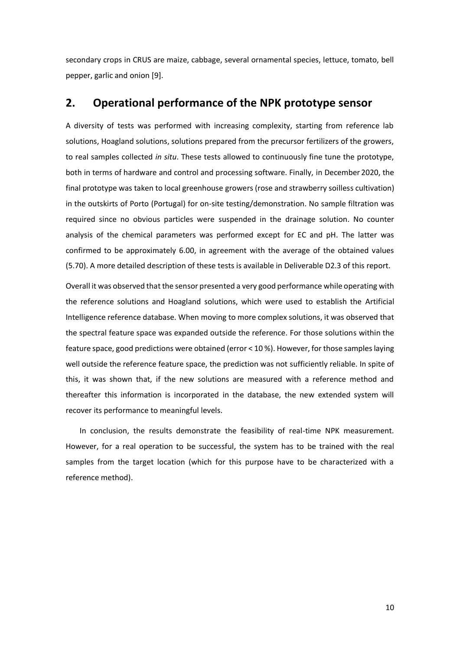secondary crops in CRUS are maize, cabbage, several ornamental species, lettuce, tomato, bell pepper, garlic and onion [9].

### <span id="page-10-0"></span>**2. Operational performance of the NPK prototype sensor**

A diversity of tests was performed with increasing complexity, starting from reference lab solutions, Hoagland solutions, solutions prepared from the precursor fertilizers of the growers, to real samples collected *in situ*. These tests allowed to continuously fine tune the prototype, both in terms of hardware and control and processing software. Finally, in December 2020, the final prototype was taken to local greenhouse growers (rose and strawberry soilless cultivation) in the outskirts of Porto (Portugal) for on-site testing/demonstration. No sample filtration was required since no obvious particles were suspended in the drainage solution. No counter analysis of the chemical parameters was performed except for EC and pH. The latter was confirmed to be approximately 6.00, in agreement with the average of the obtained values (5.70). A more detailed description of these tests is available in Deliverable D2.3 of this report.

Overall it was observed that the sensor presented a very good performance while operating with the reference solutions and Hoagland solutions, which were used to establish the Artificial Intelligence reference database. When moving to more complex solutions, it was observed that the spectral feature space was expanded outside the reference. For those solutions within the feature space, good predictions were obtained (error < 10 %). However, for those samples laying well outside the reference feature space, the prediction was not sufficiently reliable. In spite of this, it was shown that, if the new solutions are measured with a reference method and thereafter this information is incorporated in the database, the new extended system will recover its performance to meaningful levels.

In conclusion, the results demonstrate the feasibility of real-time NPK measurement. However, for a real operation to be successful, the system has to be trained with the real samples from the target location (which for this purpose have to be characterized with a reference method).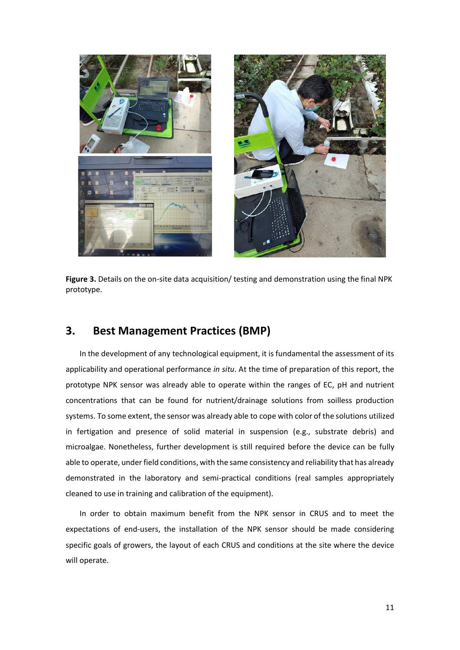

**Figure 3.** Details on the on-site data acquisition/ testing and demonstration using the final NPK prototype.

#### <span id="page-11-1"></span><span id="page-11-0"></span>**3. Best Management Practices (BMP)**

In the development of any technological equipment, it is fundamental the assessment of its applicability and operational performance *in situ*. At the time of preparation of this report, the prototype NPK sensor was already able to operate within the ranges of EC, pH and nutrient concentrations that can be found for nutrient/drainage solutions from soilless production systems. To some extent, the sensor was already able to cope with color of the solutions utilized in fertigation and presence of solid material in suspension (e.g., substrate debris) and microalgae. Nonetheless, further development is still required before the device can be fully able to operate, under field conditions, with the same consistency and reliability that has already demonstrated in the laboratory and semi-practical conditions (real samples appropriately cleaned to use in training and calibration of the equipment).

In order to obtain maximum benefit from the NPK sensor in CRUS and to meet the expectations of end-users, the installation of the NPK sensor should be made considering specific goals of growers, the layout of each CRUS and conditions at the site where the device will operate.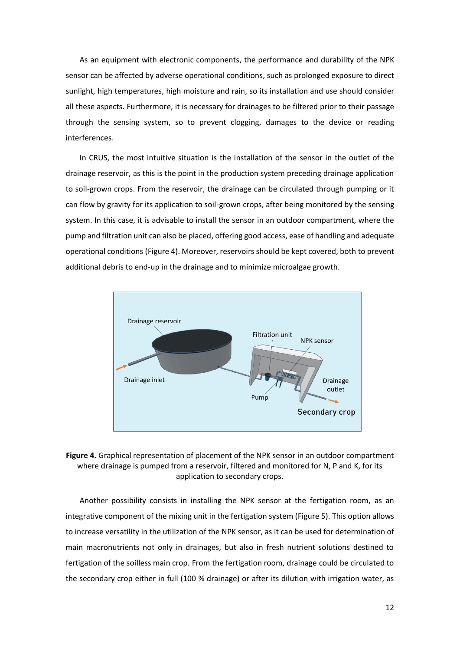As an equipment with electronic components, the performance and durability of the NPK sensor can be affected by adverse operational conditions, such as prolonged exposure to direct sunlight, high temperatures, high moisture and rain, so its installation and use should consider all these aspects. Furthermore, it is necessary for drainages to be filtered prior to their passage through the sensing system, so to prevent clogging, damages to the device or reading interferences.

In CRUS, the most intuitive situation is the installation of the sensor in the outlet of the drainage reservoir, as this is the point in the production system preceding drainage application to soil-grown crops. From the reservoir, the drainage can be circulated through pumping or it can flow by gravity for its application to soil-grown crops, after being monitored by the sensing system. In this case, it is advisable to install the sensor in an outdoor compartment, where the pump and filtration unit can also be placed, offering good access, ease of handling and adequate operational conditions [\(Figure 4\)](#page-12-0). Moreover, reservoirs should be kept covered, both to prevent additional debris to end-up in the drainage and to minimize microalgae growth.



<span id="page-12-0"></span>**Figure 4.** Graphical representation of placement of the NPK sensor in an outdoor compartment where drainage is pumped from a reservoir, filtered and monitored for N, P and K, for its application to secondary crops.

Another possibility consists in installing the NPK sensor at the fertigation room, as an integrative component of the mixing unit in the fertigation system [\(Figure 5\)](#page-13-0). This option allows to increase versatility in the utilization of the NPK sensor, as it can be used for determination of main macronutrients not only in drainages, but also in fresh nutrient solutions destined to fertigation of the soilless main crop. From the fertigation room, drainage could be circulated to the secondary crop either in full (100 % drainage) or after its dilution with irrigation water, as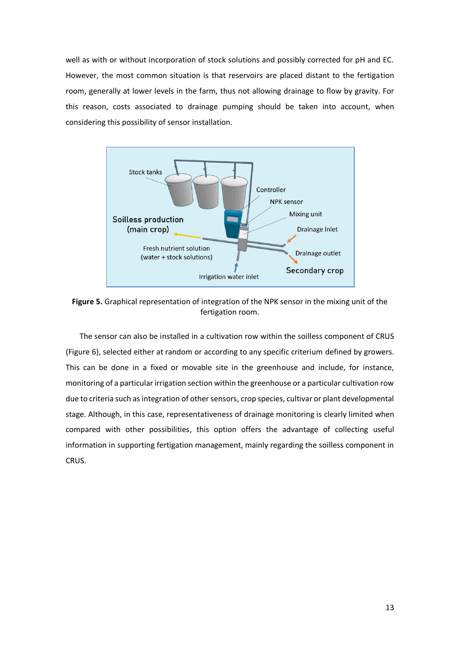well as with or without incorporation of stock solutions and possibly corrected for pH and EC. However, the most common situation is that reservoirs are placed distant to the fertigation room, generally at lower levels in the farm, thus not allowing drainage to flow by gravity. For this reason, costs associated to drainage pumping should be taken into account, when considering this possibility of sensor installation.



<span id="page-13-0"></span>**Figure 5.** Graphical representation of integration of the NPK sensor in the mixing unit of the fertigation room.

The sensor can also be installed in a cultivation row within the soilless component of CRUS [\(Figure 6\)](#page-14-1), selected either at random or according to any specific criterium defined by growers. This can be done in a fixed or movable site in the greenhouse and include, for instance, monitoring of a particular irrigation section within the greenhouse or a particular cultivation row due to criteria such as integration of other sensors, crop species, cultivar or plant developmental stage. Although, in this case, representativeness of drainage monitoring is clearly limited when compared with other possibilities, this option offers the advantage of collecting useful information in supporting fertigation management, mainly regarding the soilless component in CRUS.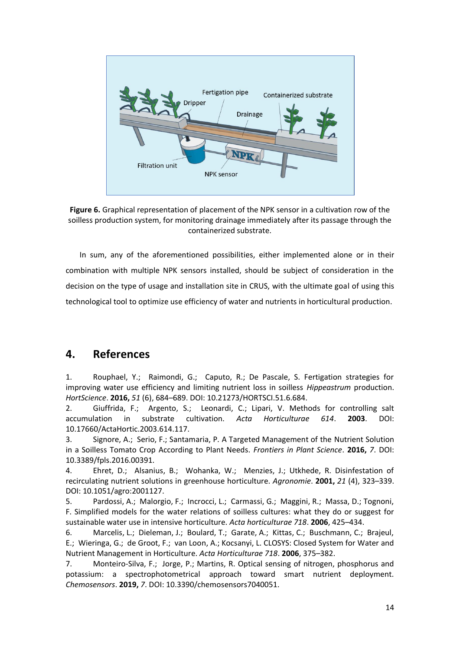

<span id="page-14-1"></span>**Figure 6.** Graphical representation of placement of the NPK sensor in a cultivation row of the soilless production system, for monitoring drainage immediately after its passage through the containerized substrate.

In sum, any of the aforementioned possibilities, either implemented alone or in their combination with multiple NPK sensors installed, should be subject of consideration in the decision on the type of usage and installation site in CRUS, with the ultimate goal of using this technological tool to optimize use efficiency of water and nutrients in horticultural production.

## <span id="page-14-0"></span>**4. References**

1. Rouphael, Y.; Raimondi, G.; Caputo, R.; De Pascale, S. Fertigation strategies for improving water use efficiency and limiting nutrient loss in soilless *Hippeastrum* production. *HortScience*. **2016,** *51* (6), 684–689. DOI: 10.21273/HORTSCI.51.6.684.

2. Giuffrida, F.; Argento, S.; Leonardi, C.; Lipari, V. Methods for controlling salt accumulation in substrate cultivation. *Acta Horticulturae 614*. **2003**. DOI: 10.17660/ActaHortic.2003.614.117.

3. Signore, A.; Serio, F.; Santamaria, P. A Targeted Management of the Nutrient Solution in a Soilless Tomato Crop According to Plant Needs. *Frontiers in Plant Science*. **2016,** *7*. DOI: 10.3389/fpls.2016.00391.

4. Ehret, D.; Alsanius, B.; Wohanka, W.; Menzies, J.; Utkhede, R. Disinfestation of recirculating nutrient solutions in greenhouse horticulture. *Agronomie*. **2001,** *21* (4), 323–339. DOI: 10.1051/agro:2001127.

5. Pardossi, A.; Malorgio, F.; Incrocci, L.; Carmassi, G.; Maggini, R.; Massa, D.; Tognoni, F. Simplified models for the water relations of soilless cultures: what they do or suggest for sustainable water use in intensive horticulture. *Acta horticulturae 718*. **2006**, 425–434.

6. Marcelis, L.; Dieleman, J.; Boulard, T.; Garate, A.; Kittas, C.; Buschmann, C.; Brajeul, E.; Wieringa, G.; de Groot, F.; van Loon, A.; Kocsanyi, L. CLOSYS: Closed System for Water and Nutrient Management in Horticulture. *Acta Horticulturae 718*. **2006**, 375–382.

7. Monteiro-Silva, F.; Jorge, P.; Martins, R. Optical sensing of nitrogen, phosphorus and potassium: a spectrophotometrical approach toward smart nutrient deployment. *Chemosensors*. **2019,** *7*. DOI: 10.3390/chemosensors7040051.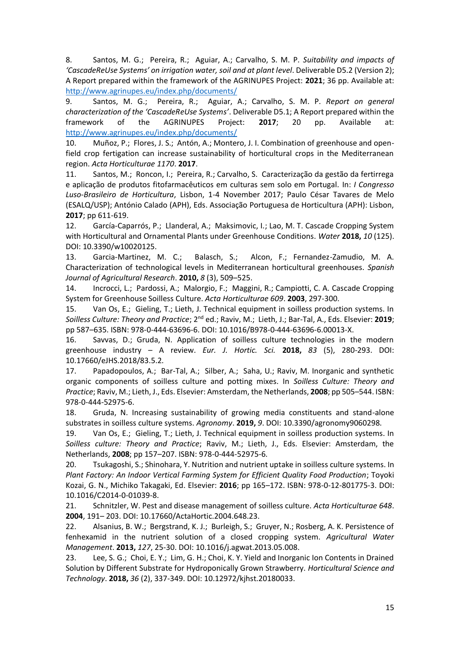8. Santos, M. G.; Pereira, R.; Aguiar, A.; Carvalho, S. M. P. *Suitability and impacts of 'CascadeReUse Systems' on irrigation water, soil and at plant level*. Deliverable D5.2 (Version 2); A Report prepared within the framework of the AGRINUPES Project: **2021**; 36 pp. Available at: <http://www.agrinupes.eu/index.php/documents/>

9. Santos, M. G.; Pereira, R.; Aguiar, A.; Carvalho, S. M. P. *Report on general characterization of the 'CascadeReUse Systems'*. Deliverable D5.1; A Report prepared within the framework of the AGRINUPES Project: **2017**; 20 pp. Available at: <http://www.agrinupes.eu/index.php/documents/>

10. Muñoz, P.; Flores, J. S.; Antón, A.; Montero, J. I. Combination of greenhouse and openfield crop fertigation can increase sustainability of horticultural crops in the Mediterranean region. *Acta Horticulturae 1170*. **2017**.

11. Santos, M.; Roncon, I.; Pereira, R.; Carvalho, S. Caracterização da gestão da fertirrega e aplicação de produtos fitofarmacêuticos em culturas sem solo em Portugal*.* In: *I Congresso Luso-Brasileiro de Horticultura*, Lisbon, 1-4 November 2017; Paulo César Tavares de Melo (ESALQ/USP); António Calado (APH), Eds. Associação Portuguesa de Horticultura (APH): Lisbon, **2017**; pp 611-619.

12. García-Caparrós, P.; Llanderal, A.; Maksimovic, I.; Lao, M. T. Cascade Cropping System with Horticultural and Ornamental Plants under Greenhouse Conditions. *Water* **2018,** *10* (125). DOI: 10.3390/w10020125.

13. Garcia-Martinez, M. C.; Balasch, S.; Alcon, F.; Fernandez-Zamudio, M. A. Characterization of technological levels in Mediterranean horticultural greenhouses. *Spanish Journal of Agricultural Research*. **2010,** *8* (3), 509–525.

14. Incrocci, L.; Pardossi, A.; Malorgio, F.; Maggini, R.; Campiotti, C. A. Cascade Cropping System for Greenhouse Soilless Culture. *Acta Horticulturae 609*. **2003**, 297-300.

15. Van Os, E.; Gieling, T.; Lieth, J. Technical equipment in soilless production systems. In *Soilless Culture: Theory and Practice*; 2nd ed.; Raviv, M.; Lieth, J.; Bar-Tal, A., Eds. Elsevier: **2019**; pp 587–635. ISBN: 978-0-444-63696-6. DOI: 10.1016/B978-0-444-63696-6.00013-X.

16. Savvas, D.; Gruda, N. Application of soilless culture technologies in the modern greenhouse industry – A review. *Eur. J. Hortic. Sci.* **2018,** *83* (5), 280-293. DOI: 10.17660/eJHS.2018/83.5.2.

17. Papadopoulos, A.; Bar-Tal, A.; Silber, A.; Saha, U.; Raviv, M. Inorganic and synthetic organic components of soilless culture and potting mixes. In *Soilless Culture: Theory and Practice*; Raviv, M.; Lieth, J., Eds. Elsevier: Amsterdam, the Netherlands, **2008**; pp 505–544. ISBN: 978-0-444-52975-6.

18. Gruda, N. Increasing sustainability of growing media constituents and stand-alone substrates in soilless culture systems. *Agronomy*. **2019,** *9*. DOI: 10.3390/agronomy9060298.

19. Van Os, E.; Gieling, T.; Lieth, J. Technical equipment in soilless production systems. In *Soilless culture: Theory and Practice*; Raviv, M.; Lieth, J., Eds. Elsevier: Amsterdam, the Netherlands, **2008**; pp 157–207. ISBN: 978-0-444-52975-6.

20. Tsukagoshi, S.; Shinohara, Y. Nutrition and nutrient uptake in soilless culture systems. In *Plant Factory: An Indoor Vertical Farming System for Efficient Quality Food Production*; Toyoki Kozai, G. N., Michiko Takagaki, Ed. Elsevier: **2016**; pp 165–172. ISBN: 978-0-12-801775-3. DOI: 10.1016/C2014-0-01039-8.

21. Schnitzler, W. Pest and disease management of soilless culture. *Acta Horticulturae 648*. **2004**, 191– 203. DOI: 10.17660/ActaHortic.2004.648.23.

22. Alsanius, B. W.; Bergstrand, K. J.; Burleigh, S.; Gruyer, N.; Rosberg, A. K. Persistence of fenhexamid in the nutrient solution of a closed cropping system. *Agricultural Water Management*. **2013,** *127*, 25-30. DOI: 10.1016/j.agwat.2013.05.008.

23. Lee, S. G.; Choi, E. Y.; Lim, G. H.; Choi, K. Y. Yield and Inorganic Ion Contents in Drained Solution by Different Substrate for Hydroponically Grown Strawberry. *Horticultural Science and Technology*. **2018,** *36* (2), 337-349. DOI: 10.12972/kjhst.20180033.